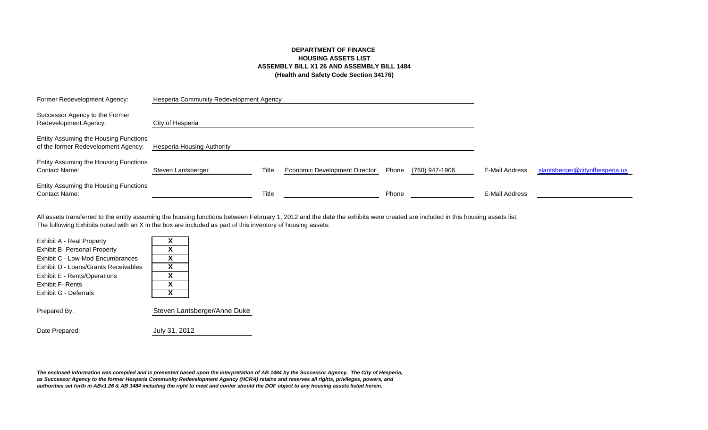### **DEPARTMENT OF FINANCE HOUSING ASSETS LIST ASSEMBLY BILL X1 26 AND ASSEMBLY BILL 1484 (Health and Safety Code Section 34176)**

| Former Redevelopment Agency:                                                 | Hesperia Community Redevelopment Agency |       |                               |       |                |                |                                |
|------------------------------------------------------------------------------|-----------------------------------------|-------|-------------------------------|-------|----------------|----------------|--------------------------------|
| Successor Agency to the Former<br>Redevelopment Agency:                      | City of Hesperia                        |       |                               |       |                |                |                                |
| Entity Assuming the Housing Functions<br>of the former Redevelopment Agency: | Hesperia Housing Authority              |       |                               |       |                |                |                                |
| Entity Assuming the Housing Functions<br><b>Contact Name:</b>                | Steven Lantsberger                      | Title | Economic Development Director | Phone | (760) 947-1906 | E-Mail Address | slantsberger@cityofhesperia.us |
| Entity Assuming the Housing Functions<br><b>Contact Name:</b>                |                                         | Title |                               | Phone |                | E-Mail Address |                                |

The following Exhibits noted with an X in the box are included as part of this inventory of housing assets: All assets transferred to the entity assuming the housing functions between February 1, 2012 and the date the exhibits were created are included in this housing assets list.

| Χ |                              |
|---|------------------------------|
| X |                              |
| X |                              |
| X |                              |
| X |                              |
| X |                              |
| X |                              |
|   |                              |
|   | Steven Lantsberger/Anne Duke |
|   |                              |
|   |                              |

Date Prepared: July 31, 2012

*The enclosed information was compiled and is presented based upon the interpretation of AB 1484 by the Successor Agency. The City of Hesperia, as Successor Agency to the former Hesperia Community Redevelopment Agency (HCRA) retains and reserves all rights, privileges, powers, and authorities set forth in ABx1 26 & AB 1484 including the right to meet and confer should the DOF object to any housing assets listed herein.*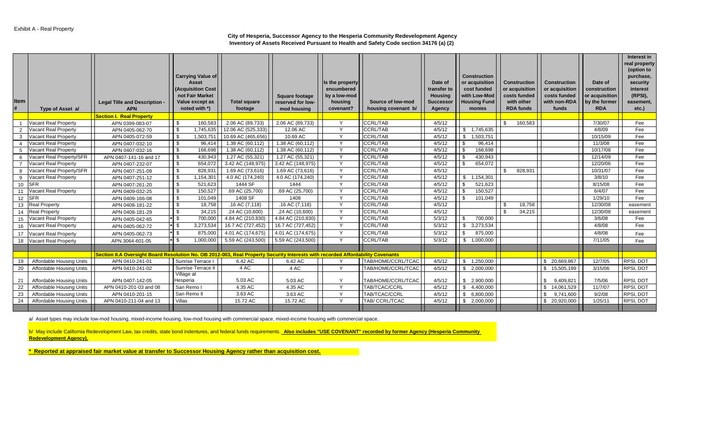#### **City of Hesperia, Successor Agency to the Hesperia Community Redevelopment Agency Inventory of Assets Received Pursuant to Health and Safety Code section 34176 (a) (2)**

| Item | Type of Asset a/                | Legal Title and Description -<br><b>APN</b><br><b>Section I. Real Property</b>                                                  | <b>Carrying Value of</b><br>Asset<br>(Acquisition Cost<br>not Fair Market<br>Value except as<br>noted with *) | <b>Total square</b><br>footage | <b>Square footage</b><br>reserved for low-<br>mod housing | Is the property<br>encumbered<br>by a low-mod<br>housing<br>covenant? | Source of low-mod<br>housing covenant b/ | Date of<br>transfer to<br>Housing<br><b>Successor</b><br>Agency | <b>Construction</b><br>or acquisition<br>cost funded<br>with Low-Mod<br><b>Housing Fund</b><br>monies | <b>Construction</b><br>or acquisition<br>costs funded<br>with other<br><b>RDA funds</b> | <b>Construction</b><br>or acquisition<br>costs funded<br>with non-RDA<br>funds | Date of<br>construction<br>or acquisition<br>by the former<br><b>RDA</b> | Interest in<br>real property<br>(option to<br>purchase,<br>security<br>interest<br>(RPSI),<br>easement,<br>etc.) |
|------|---------------------------------|---------------------------------------------------------------------------------------------------------------------------------|---------------------------------------------------------------------------------------------------------------|--------------------------------|-----------------------------------------------------------|-----------------------------------------------------------------------|------------------------------------------|-----------------------------------------------------------------|-------------------------------------------------------------------------------------------------------|-----------------------------------------------------------------------------------------|--------------------------------------------------------------------------------|--------------------------------------------------------------------------|------------------------------------------------------------------------------------------------------------------|
|      | Vacant Real Property            | APN 0399-083-07                                                                                                                 | 160,583<br>- \$                                                                                               | 2.06 AC (89,733)               | 2.06 AC (89,733)                                          | $\checkmark$                                                          | <b>CCRL/TAB</b>                          | 4/5/12                                                          |                                                                                                       | 160,583<br>\$                                                                           |                                                                                | 7/30/07                                                                  | Fee                                                                                                              |
| 2    | Vacant Real Property            | APN 0405-062-70                                                                                                                 | - \$<br>1,745,635                                                                                             | 12.06 AC (525,333)             | 12.06 AC                                                  | $\vee$                                                                | <b>CCRL/TAB</b>                          | 4/5/12                                                          | 1,745,635<br>\$                                                                                       |                                                                                         |                                                                                | 4/8/09                                                                   | Fee                                                                                                              |
| 3    | Vacant Real Property            | APN 0405-072-59                                                                                                                 | \$<br>1,503,751                                                                                               | 10.69 AC (465,656)             | 10.69 AC                                                  | $\checkmark$                                                          | <b>CCRL/TAB</b>                          | 4/5/12                                                          | 1,503,751<br>- \$                                                                                     |                                                                                         |                                                                                | 10/15/09                                                                 | Fee                                                                                                              |
|      | Vacant Real Property            | APN 0407-032-10                                                                                                                 | \$<br>96,414                                                                                                  | 1.38 AC (60,112)               | 1.38 AC (60,112)                                          | $\checkmark$                                                          | <b>CCRL/TAB</b>                          | 4/5/12                                                          | 96,414                                                                                                |                                                                                         |                                                                                | 11/3/08                                                                  | Fee                                                                                                              |
| -5   | <b>Vacant Real Property</b>     | APN 0407-032-16                                                                                                                 | $\sqrt{3}$<br>168,698                                                                                         | 1.38 AC (60,112)               | 1.38 AC (60,112)                                          | $\checkmark$                                                          | <b>CCRL/TAB</b>                          | 4/5/12                                                          | -\$<br>168,698                                                                                        |                                                                                         |                                                                                | 10/17/08                                                                 | Fee                                                                                                              |
| 6    | Vacant Real Property/SFR        | APN 0407-141-16 and 17                                                                                                          | \$<br>430,943                                                                                                 | 1.27 AC (55,321)               | 1.27 AC (55,321)                                          | $\vee$                                                                | <b>CCRL/TAB</b>                          | 4/5/12                                                          | 430,943                                                                                               |                                                                                         |                                                                                | 12/14/09                                                                 | Fee                                                                                                              |
|      | Vacant Real Property            | APN 0407-232-07                                                                                                                 | \$<br>654,072                                                                                                 | 3.42 AC (148,975)              | 3.42 AC (148,975)                                         | Y                                                                     | <b>CCRL/TAB</b>                          | 4/5/12                                                          | 654,072                                                                                               |                                                                                         |                                                                                | 12/20/06                                                                 | Fee                                                                                                              |
| -8   | Vacant Real Property/SFR        | APN 0407-251-09                                                                                                                 | - \$<br>828,931                                                                                               | 1.69 AC (73,616)               | 1.69 AC (73,616)                                          | Y                                                                     | <b>CCRL/TAB</b>                          | 4/5/12                                                          |                                                                                                       | 828,931<br>\$                                                                           |                                                                                | 10/31/07                                                                 | Fee                                                                                                              |
| -9   | Vacant Real Property            | APN 0407-251-12                                                                                                                 | <b>S</b><br>1,154,301                                                                                         | 4.0 AC (174,240)               | 4.0 AC (174,240)                                          | Y                                                                     | <b>CCRL/TAB</b>                          | 4/5/12                                                          | \$<br>1,154,301                                                                                       |                                                                                         |                                                                                | 3/8/10                                                                   | Fee                                                                                                              |
| 10   | <b>SFR</b>                      | APN 0407-261-20                                                                                                                 | $\sqrt{3}$<br>521,623                                                                                         | 1444 SF                        | 1444                                                      | Y                                                                     | <b>CCRL/TAB</b>                          | 4/5/12                                                          | \$<br>521,623                                                                                         |                                                                                         |                                                                                | 8/15/08                                                                  | Fee                                                                                                              |
| 11   | Vacant Real Property            | APN 0409-032-25                                                                                                                 | \$<br>150,527                                                                                                 | .69 AC (25,700)                | .69 AC (25,700)                                           | Y                                                                     | <b>CCRL/TAB</b>                          | 4/5/12                                                          | -\$<br>150,527                                                                                        |                                                                                         |                                                                                | 6/4/07                                                                   | Fee                                                                                                              |
| 12   | <b>SFR</b>                      | APN 0409-166-08                                                                                                                 | l \$<br>101,049                                                                                               | 1408 SF                        | 1408                                                      | Y                                                                     | <b>CCRL/TAB</b>                          | 4/5/12                                                          | \$<br>101,049                                                                                         |                                                                                         |                                                                                | 1/29/10                                                                  | Fee                                                                                                              |
| 13   | <b>Real Property</b>            | APN 0408-181-22                                                                                                                 | l \$<br>18,758                                                                                                | .16 AC (7,118)                 | .16 AC (7,118)                                            | Y                                                                     | <b>CCRL/TAB</b>                          | 4/5/12                                                          |                                                                                                       | 18,758<br>-\$                                                                           |                                                                                | 12/30/08                                                                 | easement                                                                                                         |
| 14   | <b>Real Property</b>            | APN 0408-181-29                                                                                                                 | l \$<br>34,215                                                                                                | .24 AC (10,600)                | .24 AC (10,600)                                           | Y                                                                     | <b>CCRL/TAB</b>                          | 4/5/12                                                          |                                                                                                       | 34,215<br>-S                                                                            |                                                                                | 12/30/08                                                                 | easement                                                                                                         |
| 15   | Vacant Real Property            | APN 0405-042-65                                                                                                                 | $*$ \$<br>700,000                                                                                             | 4.84 AC (210,830)              | 4.84 AC (210,830)                                         | Y                                                                     | <b>CCRL/TAB</b>                          | 5/3/12                                                          | 700,000<br>- \$                                                                                       |                                                                                         |                                                                                | 3/6/08                                                                   | Fee                                                                                                              |
| 16   | <b>Vacant Real Property</b>     | APN 0405-062-72                                                                                                                 | $*$ \$<br>3,273,534                                                                                           | 16.7 AC (727,452)              | 16.7 AC (727,452)                                         | Y                                                                     | <b>CCRL/TAB</b>                          | 5/3/12                                                          | 3,273,534<br>\$                                                                                       |                                                                                         |                                                                                | 4/8/08                                                                   | Fee                                                                                                              |
| 17   | Vacant Real Property            | APN 0405-062-73                                                                                                                 | $*$ \$<br>875,000                                                                                             | 4.01 AC (174,675)              | 4.01 AC (174,675)                                         | Y                                                                     | <b>CCRL/TAB</b>                          | 5/3/12                                                          | 875,000                                                                                               |                                                                                         |                                                                                | 4/8/08                                                                   | Fee                                                                                                              |
| 18   | Vacant Real Property            | APN 3064-601-05                                                                                                                 | $*$ \$<br>1,000,000                                                                                           | 5.59 AC (243,500)              | 5.59 AC (243,500)                                         | Y                                                                     | <b>CCRL/TAB</b>                          | 5/3/12                                                          | 1,000,000<br>- \$                                                                                     |                                                                                         |                                                                                | 7/11/05                                                                  | Fee                                                                                                              |
|      |                                 |                                                                                                                                 |                                                                                                               |                                |                                                           |                                                                       |                                          |                                                                 |                                                                                                       |                                                                                         |                                                                                |                                                                          |                                                                                                                  |
|      |                                 | Section II.A Oversight Board Resolution No. OB 2012-003, Real Property Security Interests with recorded Affordability Covenants |                                                                                                               |                                |                                                           |                                                                       |                                          |                                                                 |                                                                                                       |                                                                                         |                                                                                |                                                                          |                                                                                                                  |
| 19   | Affordable Housing Units        | APN 0410-241-01                                                                                                                 | Sunrise Terrace                                                                                               | 6.42 AC                        | 6.42 AC                                                   |                                                                       | TAB/HOME/CCRL/TCAC                       | 4/5/12                                                          | \$1,250,000                                                                                           |                                                                                         | \$ 20,669,867                                                                  | 12/7/05                                                                  | RPSI, DOT                                                                                                        |
| 20   | <b>Affordable Housing Units</b> | APN 0410-241-02                                                                                                                 | Sunrise Terrace II                                                                                            | 4 AC                           | 4 AC                                                      | Y                                                                     | TAB/HOME/CCRL/TCAC                       | 4/5/12                                                          | \$2,000,000                                                                                           |                                                                                         | 15,505,199<br>$\mathbf{s}$                                                     | 3/15/06                                                                  | RPSI, DOT                                                                                                        |
| 21   | Affordable Housing Units        | APN 0407-142-05                                                                                                                 | Village at<br>Hesperia                                                                                        | 5.03 AC                        | 5.03 AC                                                   | $\checkmark$                                                          | TAB/HOME/CCRL/TCAC                       | 4/5/12                                                          | \$2,900,000                                                                                           |                                                                                         | 9,409,821<br>-\$                                                               | 7/5/06                                                                   | RPSI, DOT                                                                                                        |
| 22   | <b>Affordable Housing Units</b> | APN 0410-201-03 and 08                                                                                                          | San Remo I                                                                                                    | 4.35 AC                        | 4.35 AC                                                   | Y                                                                     | TAB/TCAC/CCRL                            | 4/5/12                                                          | 4,400,000<br><b>S</b>                                                                                 |                                                                                         | 14,061,529<br>- \$                                                             | 11/7/07                                                                  | RPSI, DOT                                                                                                        |
| 23   | Affordable Housing Units        | APN 0410-201-15                                                                                                                 | San Remo II                                                                                                   | 3.63 AC                        | 3.63 AC                                                   | $\vee$                                                                | TAB/TCAC/CCRL                            | 4/5/12                                                          | 6,800,000<br>l\$                                                                                      |                                                                                         | 9,741,600<br>- \$                                                              | 9/2/08                                                                   | RPSI, DOT                                                                                                        |
| 24   | Affordable Housing Units        | APN 0410-211-04 and 13                                                                                                          | Villas                                                                                                        | 15.72 AC                       | 15.72 AC                                                  | $\vee$                                                                | TAB/CCRL/TCAC                            | 4/5/12                                                          | 2,000,000<br>l \$                                                                                     |                                                                                         | \$20,920,000                                                                   | 1/25/11                                                                  | RPSI, DOT                                                                                                        |
|      |                                 |                                                                                                                                 |                                                                                                               |                                |                                                           |                                                                       |                                          |                                                                 |                                                                                                       |                                                                                         |                                                                                |                                                                          |                                                                                                                  |

a/ Asset types may include low-mod housing, mixed-income housing, low-mod housing with commercial space, mixed-income housing with commercial space.

b/ May include California Redevelopment Law, tax credits, state bond indentures, and federal funds requirements. Also includes "USE COVENANT" recorded by former Agency (Hesperia Community **Redevelopment Agency).**

**\* Reported at appraised fair market value at transfer to Successor Housing Agency rather than acquisition cost.**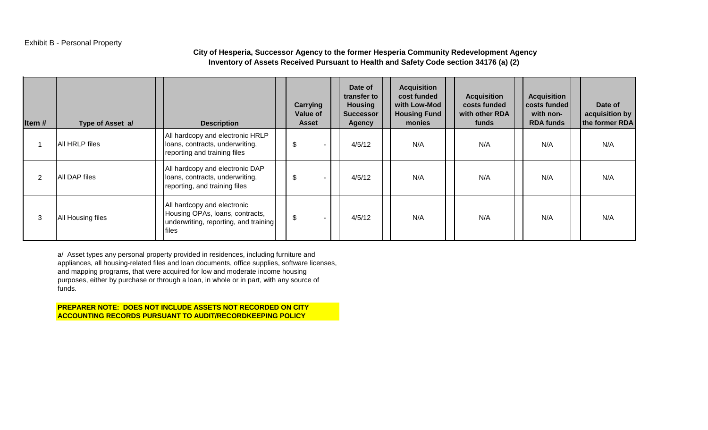# Exhibit B - Personal Property

# **City of Hesperia, Successor Agency to the former Hesperia Community Redevelopment Agency Inventory of Assets Received Pursuant to Health and Safety Code section 34176 (a) (2)**

| Item#          | Type of Asset a/  | <b>Description</b>                                                                                               | Carrying<br><b>Value of</b><br><b>Asset</b> | Date of<br>transfer to<br><b>Housing</b><br><b>Successor</b><br><b>Agency</b> | <b>Acquisition</b><br>cost funded<br>with Low-Mod<br><b>Housing Fund</b><br>monies | <b>Acquisition</b><br>costs funded<br>with other RDA<br>funds | <b>Acquisition</b><br>costs funded<br>with non-<br><b>RDA funds</b> | Date of<br>acquisition by<br>the former RDA |
|----------------|-------------------|------------------------------------------------------------------------------------------------------------------|---------------------------------------------|-------------------------------------------------------------------------------|------------------------------------------------------------------------------------|---------------------------------------------------------------|---------------------------------------------------------------------|---------------------------------------------|
|                | All HRLP files    | All hardcopy and electronic HRLP<br>loans, contracts, underwriting,<br>reporting and training files              | \$                                          | 4/5/12                                                                        | N/A                                                                                | N/A                                                           | N/A                                                                 | N/A                                         |
| $\overline{2}$ | All DAP files     | All hardcopy and electronic DAP<br>loans, contracts, underwriting,<br>reporting, and training files              | \$<br>н.                                    | 4/5/12                                                                        | N/A                                                                                | N/A                                                           | N/A                                                                 | N/A                                         |
| 3              | All Housing files | All hardcopy and electronic<br>Housing OPAs, loans, contracts,<br>underwriting, reporting, and training<br>files | \$                                          | 4/5/12                                                                        | N/A                                                                                | N/A                                                           | N/A                                                                 | N/A                                         |

a/ Asset types any personal property provided in residences, including furniture and appliances, all housing-related files and loan documents, office supplies, software licenses, and mapping programs, that were acquired for low and moderate income housing purposes, either by purchase or through a loan, in whole or in part, with any source of funds.

**PREPARER NOTE: DOES NOT INCLUDE ASSETS NOT RECORDED ON CITY ACCOUNTING RECORDS PURSUANT TO AUDIT/RECORDKEEPING POLICY**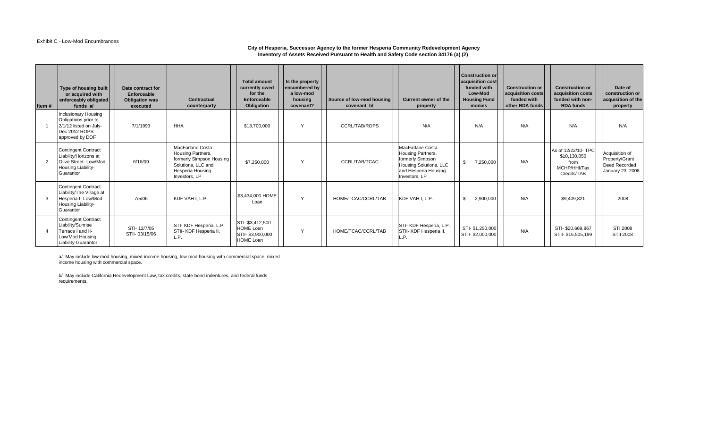#### Exhibit C - Low-Mod Encumbrances

#### **City of Hesperia, Successor Agency to the former Hesperia Community Redevelopment Agency Inventory of Assets Received Pursuant to Health and Safety Code section 34176 (a) (2)**

| Item#         | Type of housing built<br>or acquired with<br>enforceably obligated<br>funds a/                                   | Date contract for<br>Enforceable<br><b>Obligation was</b><br>executed | Contractual<br>counterparty                                                                                                         | <b>Total amount</b><br>currently owed<br>for the<br>Enforceable<br>Obligation | Is the property<br>encumbered by<br>a low-mod<br>housing<br>covenant? | Source of low-mod housing<br>covenant b/ | Current owner of the<br>property                                                                                             | <b>Construction or</b><br>acquisition cost<br>funded with<br>Low-Mod<br><b>Housing Fund</b><br>monies | <b>Construction or</b><br>acquisition costs<br>funded with<br>other RDA funds | <b>Construction or</b><br>acquisition costs<br>funded with non-<br><b>RDA funds</b> | Date of<br>construction or<br>acquisition of the<br>property          |
|---------------|------------------------------------------------------------------------------------------------------------------|-----------------------------------------------------------------------|-------------------------------------------------------------------------------------------------------------------------------------|-------------------------------------------------------------------------------|-----------------------------------------------------------------------|------------------------------------------|------------------------------------------------------------------------------------------------------------------------------|-------------------------------------------------------------------------------------------------------|-------------------------------------------------------------------------------|-------------------------------------------------------------------------------------|-----------------------------------------------------------------------|
|               | Inclusionary Housing<br>Obligations prior to<br>2/1/12 listed on July-<br>Dec 2012 ROPS<br>approved by DOF       | 7/1/1993                                                              | <b>HHA</b>                                                                                                                          | \$13,700,000                                                                  | Y                                                                     | <b>CCRL/TAB/ROPS</b>                     | N/A                                                                                                                          | N/A                                                                                                   | N/A                                                                           | N/A                                                                                 | N/A                                                                   |
| $\mathcal{P}$ | <b>Contingent Contract</b><br>Liability/Horizons at<br>Olive Street-Low/Mod<br>Housing Liability-<br>Guarantor   | 6/16/09                                                               | MacFarlane Costa<br>Housing Partners,<br>formerly Simpson Housing<br>Solutions, LLC and<br><b>Hesperia Housing</b><br>Investors, LP | \$7,250,000                                                                   | Y                                                                     | CCRL/TAB/TCAC                            | MacFarlane Costa<br>Housing Partners,<br>formerly Simpson<br>Housing Solutions, LLC<br>and Hesperia Housing<br>Investors, LP | 7,250,000                                                                                             | N/A                                                                           | As of 12/22/10-TPC<br>\$10,130,850<br>from<br>MCHP/HHI/Tax<br>Credits/TAB           | Acquisition of<br>Property/Grant<br>Deed Recorded<br>January 23, 2008 |
|               | <b>Contingent Contract</b><br>Liability/The Village at<br>Hesperia I- Low/Mod<br>Housing Liability-<br>Guarantor | 7/5/06                                                                | KDF VAH I, L.P.                                                                                                                     | \$3,434,000 HOME<br>Loan                                                      | $\vee$                                                                | HOME/TCAC/CCRL/TAB                       | KDF VAH I. L.P.                                                                                                              | 2,900,000                                                                                             | N/A                                                                           | \$9,409,821                                                                         | 2008                                                                  |
|               | <b>Contingent Contract</b><br>Liability/Sunrise<br>Terrace I and II-<br>Low/Mod Housing<br>Liability-Guarantor   | STI-12/7/05<br>STII-03/15/06                                          | STI- KDF Hesperia, L.P.<br>STII- KDF Hesperia II,<br>L.P.                                                                           | STI-\$3,412,500<br><b>HOME Loan</b><br>STII-\$3,900,000<br><b>HOME Loan</b>   | $\vee$                                                                | HOME/TCAC/CCRL/TAB                       | STI-KDF Hesperia, L.P.<br><b>STII- KDF Hesperia II.</b><br>L.P.                                                              | STI-\$1,250,000<br>STII-\$2,000,000                                                                   | N/A                                                                           | STI-\$20.669.867<br>STII- \$15,505,199                                              | STI 2008<br><b>STII 2008</b>                                          |

a/ May include low-mod housing, mixed-income housing, low-mod housing with commercial space, mixedincome housing with commercial space.

b/ May include California Redevelopment Law, tax credits, state bond indentures, and federal funds requirements.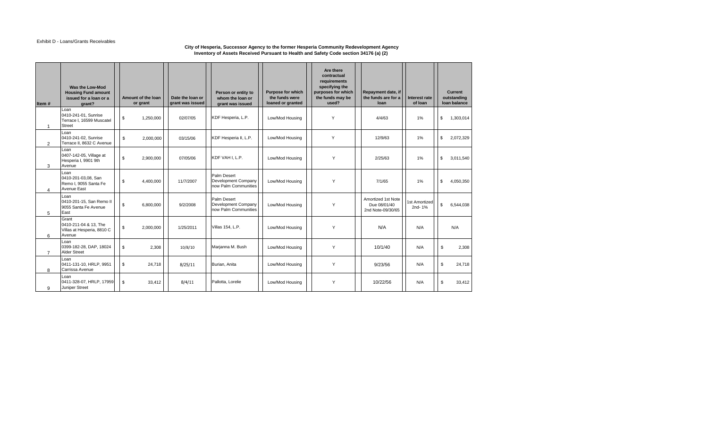#### Exhibit D - Loans/Grants Receivables

#### **City of Hesperia, Successor Agency to the former Hesperia Community Redevelopment Agency Inventory of Assets Received Pursuant to Health and Safety Code section 34176 (a) (2)**

| Item #         | Was the Low-Mod<br><b>Housing Fund amount</b><br>issued for a loan or a<br>grant? |                | Amount of the loan<br>or grant | Date the loan or<br>grant was issued | Person or entity to<br>whom the loan or<br>grant was issued | <b>Purpose for which</b><br>the funds were<br>loaned or granted | Are there<br>contractual<br>requirements<br>specifying the<br>purposes for which<br>the funds may be<br>used? | Repayment date, if<br>the funds are for a<br>loan       | Interest rate<br>of loan | Current<br>outstanding<br>Ioan balance |
|----------------|-----------------------------------------------------------------------------------|----------------|--------------------------------|--------------------------------------|-------------------------------------------------------------|-----------------------------------------------------------------|---------------------------------------------------------------------------------------------------------------|---------------------------------------------------------|--------------------------|----------------------------------------|
| $\overline{1}$ | Loan<br>0410-241-01, Sunrise<br>Terrace I, 16599 Muscatel<br><b>Street</b>        | \$             | 1,250,000                      | 02/07/05                             | KDF Hesperia, L.P.                                          | Low/Mod Housing                                                 | Y                                                                                                             | 4/4/63                                                  | 1%                       | \$<br>1,303,014                        |
| 2              | Loan<br>0410-241-02, Sunrise<br>Terrace II, 8632 C Avenue                         | \$             | 2.000.000                      | 03/15/06                             | KDF Hesperia II, L.P.                                       | Low/Mod Housing                                                 | Y                                                                                                             | 12/9/63                                                 | 1%                       | \$<br>2,072,329                        |
| 3              | Loan<br>0407-142-05, Village at<br>Hesperia I, 9901 9th<br>Avenue                 | \$             | 2,900,000                      | 07/05/06                             | KDF VAH I. L.P.                                             | Low/Mod Housing                                                 | Y                                                                                                             | 2/25/63                                                 | 1%                       | \$<br>3,011,540                        |
| $\overline{4}$ | Loan<br>0410-201-03.08, San<br>Remo I, 9055 Santa Fe<br><b>Avenue East</b>        | \$             | 4.400.000                      | 11/7/2007                            | Palm Desert<br>Development Company<br>now Palm Communities  | Low/Mod Housing                                                 | Y                                                                                                             | 7/1/65                                                  | 1%                       | \$<br>4.050.350                        |
| 5              | Loan<br>0410-201-15, San Remo II<br>9055 Santa Fe Avenue<br>East                  | $$\mathbb{S}$$ | 6.800.000                      | 9/2/2008                             | Palm Desert<br>Development Company<br>now Palm Communities  | Low/Mod Housing                                                 | Y                                                                                                             | Amortized 1st Note<br>Due 08/01/40<br>2nd Note-09/30/65 | 1st Amortized<br>2nd-1%  | \$<br>6,544,038                        |
| 6              | Grant<br>0410-211-04 & 13, The<br>Villas at Hesperia, 8810 C<br>Avenue            | \$             | 2,000,000                      | 1/25/2011                            | <b>Villas 154, L.P.</b>                                     | Low/Mod Housing                                                 | Y                                                                                                             | N/A                                                     | N/A                      | N/A                                    |
| $\overline{7}$ | Loan<br>0399-182-28, DAP, 18024<br><b>Alder Street</b>                            | \$             | 2,308                          | 10/8/10                              | Marjanna M. Bush                                            | Low/Mod Housing                                                 | Y                                                                                                             | 10/1/40                                                 | N/A                      | \$<br>2,308                            |
| 8              | Loan<br>0411-131-10, HRLP, 9951<br>Carrissa Avenue                                | \$             | 24,718                         | 8/25/11                              | Burian, Anita                                               | Low/Mod Housing                                                 | Y                                                                                                             | 9/23/56                                                 | N/A                      | \$<br>24,718                           |
| 9              | Loan<br>0411-328-07, HRLP, 17959<br>Juniper Street                                | \$             | 33,412                         | 8/4/11                               | Pallotta, Lorelie                                           | Low/Mod Housing                                                 | Y                                                                                                             | 10/22/56                                                | N/A                      | \$<br>33,412                           |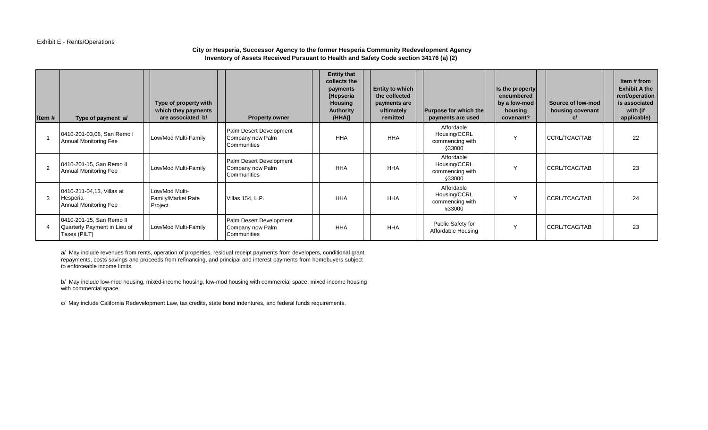#### Exhibit E - Rents/Operations

# **City or Hesperia, Successor Agency to the former Hesperia Community Redevelopment Agency Inventory of Assets Received Pursuant to Health and Safety Code section 34176 (a) (2)**

| Item#          | Type of payment a/                                                       | Type of property with<br>which they payments<br>are associated b/ | <b>Property owner</b>                                      | <b>Entity that</b><br>collects the<br>payments<br>[Hepseria<br><b>Housing</b><br><b>Authority</b><br>(HHA) | <b>Entity to which</b><br>the collected<br>payments are<br>ultimately<br>remitted | <b>Purpose for which the</b><br>payments are used       | Is the property<br>encumbered<br>by a low-mod<br>housing<br>covenant? | Source of low-mod<br>housing covenant | Item # from<br><b>Exhibit A the</b><br>rent/operation<br>is associated<br>with (if<br>applicable) |
|----------------|--------------------------------------------------------------------------|-------------------------------------------------------------------|------------------------------------------------------------|------------------------------------------------------------------------------------------------------------|-----------------------------------------------------------------------------------|---------------------------------------------------------|-----------------------------------------------------------------------|---------------------------------------|---------------------------------------------------------------------------------------------------|
|                | 0410-201-03,08, San Remo I<br><b>Annual Monitoring Fee</b>               | Low/Mod Multi-Family                                              | Palm Desert Development<br>Company now Palm<br>Communities | <b>HHA</b>                                                                                                 | <b>HHA</b>                                                                        | Affordable<br>Housing/CCRL<br>commencing with<br>§33000 | Y                                                                     | CCRL/TCAC/TAB                         | 22                                                                                                |
| $\overline{2}$ | 0410-201-15, San Remo II<br>Annual Monitoring Fee                        | Low/Mod Multi-Family                                              | Palm Desert Development<br>Company now Palm<br>Communities | <b>HHA</b>                                                                                                 | <b>HHA</b>                                                                        | Affordable<br>Housing/CCRL<br>commencing with<br>§33000 | $\vee$                                                                | CCRL/TCAC/TAB                         | 23                                                                                                |
| 3              | 0410-211-04,13, Villas at<br>Hesperia<br>Annual Monitoring Fee           | Low/Mod Multi-<br><b>Family/Market Rate</b><br>Project            | Villas 154, L.P.                                           | <b>HHA</b>                                                                                                 | <b>HHA</b>                                                                        | Affordable<br>Housing/CCRL<br>commencing with<br>§33000 | $\mathsf{v}$                                                          | ICCRL/TCAC/TAB                        | 24                                                                                                |
|                | 0410-201-15, San Remo II<br>Quarterly Payment in Lieu of<br>Taxes (PILT) | Low/Mod Multi-Family                                              | Palm Desert Development<br>Company now Palm<br>Communities | HHA                                                                                                        | <b>HHA</b>                                                                        | Public Safety for<br>Affordable Housing                 | Y                                                                     | ICCRL/TCAC/TAB                        | 23                                                                                                |

a/ May include revenues from rents, operation of properties, residual receipt payments from developers, conditional grant repayments, costs savings and proceeds from refinancing, and principal and interest payments from homebuyers subject to enforceable income limits.

b/ May include low-mod housing, mixed-income housing, low-mod housing with commercial space, mixed-income housing with commercial space.

c/ May include California Redevelopment Law, tax credits, state bond indentures, and federal funds requirements.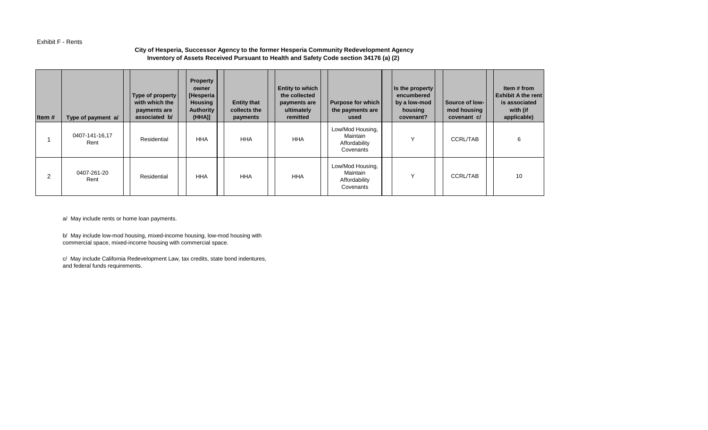#### Exhibit F - Rents

### **City of Hesperia, Successor Agency to the former Hesperia Community Redevelopment Agency Inventory of Assets Received Pursuant to Health and Safety Code section 34176 (a) (2)**

| Item# | Type of payment a/     | Type of property<br>with which the<br>payments are<br>associated b/ | <b>Property</b><br>owner<br>[Hesperia]<br><b>Housing</b><br><b>Authority</b><br>(HHA) | <b>Entity that</b><br>collects the<br>payments | <b>Entity to which</b><br>the collected<br>payments are<br>ultimately<br>remitted | <b>Purpose for which</b><br>the payments are<br>used       | Is the property<br>encumbered<br>by a low-mod<br>housing<br>covenant? | Source of low-<br>mod housing<br>covenant c/ | Item # from<br><b>Exhibit A the rent</b><br>is associated<br>with (if<br>applicable) |
|-------|------------------------|---------------------------------------------------------------------|---------------------------------------------------------------------------------------|------------------------------------------------|-----------------------------------------------------------------------------------|------------------------------------------------------------|-----------------------------------------------------------------------|----------------------------------------------|--------------------------------------------------------------------------------------|
|       | 0407-141-16,17<br>Rent | Residential                                                         | <b>HHA</b>                                                                            | <b>HHA</b>                                     | <b>HHA</b>                                                                        | Low/Mod Housing,<br>Maintain<br>Affordability<br>Covenants | $\checkmark$                                                          | <b>CCRL/TAB</b>                              | 6                                                                                    |
| 2     | 0407-261-20<br>Rent    | Residential                                                         | <b>HHA</b>                                                                            | <b>HHA</b>                                     | <b>HHA</b>                                                                        | Low/Mod Housing,<br>Maintain<br>Affordability<br>Covenants | $\checkmark$                                                          | <b>CCRL/TAB</b>                              | 10                                                                                   |

a/ May include rents or home loan payments.

b/ May include low-mod housing, mixed-income housing, low-mod housing with commercial space, mixed-income housing with commercial space.

c/ May include California Redevelopment Law, tax credits, state bond indentures, and federal funds requirements.